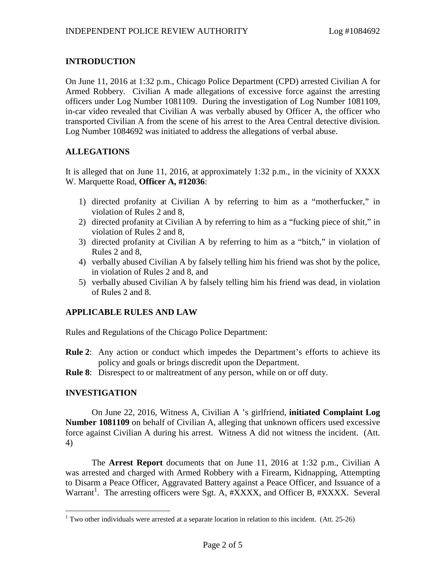# **INTRODUCTION**

On June 11, 2016 at 1:32 p.m., Chicago Police Department (CPD) arrested Civilian A for Armed Robbery. Civilian A made allegations of excessive force against the arresting officers under Log Number 1081109. During the investigation of Log Number 1081109, in-car video revealed that Civilian A was verbally abused by Officer A, the officer who transported Civilian A from the scene of his arrest to the Area Central detective division. Log Number 1084692 was initiated to address the allegations of verbal abuse.

# **ALLEGATIONS**

It is alleged that on June 11, 2016, at approximately 1:32 p.m., in the vicinity of XXXX W. Marquette Road, **Officer A, #12036**:

- 1) directed profanity at Civilian A by referring to him as a "motherfucker," in violation of Rules 2 and 8,
- 2) directed profanity at Civilian A by referring to him as a "fucking piece of shit," in violation of Rules 2 and 8,
- 3) directed profanity at Civilian A by referring to him as a "bitch," in violation of Rules 2 and 8,
- 4) verbally abused Civilian A by falsely telling him his friend was shot by the police, in violation of Rules 2 and 8, and
- 5) verbally abused Civilian A by falsely telling him his friend was dead, in violation of Rules 2 and 8.

# **APPLICABLE RULES AND LAW**

Rules and Regulations of the Chicago Police Department:

- **Rule 2**: Any action or conduct which impedes the Department's efforts to achieve its policy and goals or brings discredit upon the Department.
- **Rule 8**: Disrespect to or maltreatment of any person, while on or off duty.

### **INVESTIGATION**

On June 22, 2016, Witness A, Civilian A 's girlfriend, **initiated Complaint Log Number 1081109** on behalf of Civilian A, alleging that unknown officers used excessive force against Civilian A during his arrest. Witness A did not witness the incident. (Att. 4)

The **Arrest Report** documents that on June 11, 2016 at 1:32 p.m., Civilian A was arrested and charged with Armed Robbery with a Firearm, Kidnapping, Attempting to Disarm a Peace Officer, Aggravated Battery against a Peace Officer, and Issuance of a Warrant<sup>[1](#page-0-0)</sup>. The arresting officers were Sgt. A, #XXXX, and Officer B, #XXXX. Several

<span id="page-0-0"></span><sup>&</sup>lt;sup>1</sup> Two other individuals were arrested at a separate location in relation to this incident. (Att. 25-26)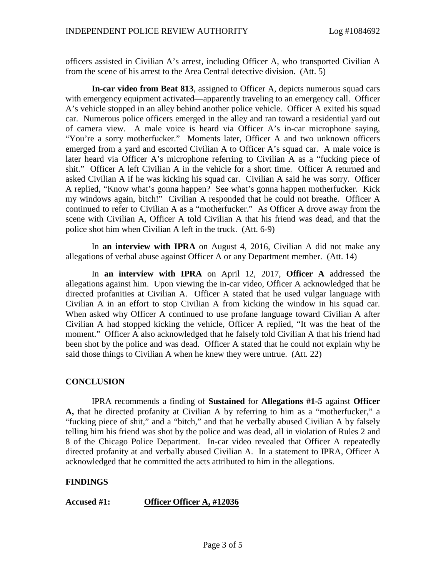officers assisted in Civilian A's arrest, including Officer A, who transported Civilian A from the scene of his arrest to the Area Central detective division. (Att. 5)

**In-car video from Beat 813**, assigned to Officer A, depicts numerous squad cars with emergency equipment activated—apparently traveling to an emergency call. Officer A's vehicle stopped in an alley behind another police vehicle. Officer A exited his squad car. Numerous police officers emerged in the alley and ran toward a residential yard out of camera view. A male voice is heard via Officer A's in-car microphone saying, "You're a sorry motherfucker." Moments later, Officer A and two unknown officers emerged from a yard and escorted Civilian A to Officer A's squad car. A male voice is later heard via Officer A's microphone referring to Civilian A as a "fucking piece of shit." Officer A left Civilian A in the vehicle for a short time. Officer A returned and asked Civilian A if he was kicking his squad car. Civilian A said he was sorry. Officer A replied, "Know what's gonna happen? See what's gonna happen motherfucker. Kick my windows again, bitch!" Civilian A responded that he could not breathe. Officer A continued to refer to Civilian A as a "motherfucker." As Officer A drove away from the scene with Civilian A, Officer A told Civilian A that his friend was dead, and that the police shot him when Civilian A left in the truck. (Att. 6-9)

In **an interview with IPRA** on August 4, 2016, Civilian A did not make any allegations of verbal abuse against Officer A or any Department member. (Att. 14)

In **an interview with IPRA** on April 12, 2017, **Officer A** addressed the allegations against him. Upon viewing the in-car video, Officer A acknowledged that he directed profanities at Civilian A. Officer A stated that he used vulgar language with Civilian A in an effort to stop Civilian A from kicking the window in his squad car. When asked why Officer A continued to use profane language toward Civilian A after Civilian A had stopped kicking the vehicle, Officer A replied, "It was the heat of the moment." Officer A also acknowledged that he falsely told Civilian A that his friend had been shot by the police and was dead. Officer A stated that he could not explain why he said those things to Civilian A when he knew they were untrue. (Att. 22)

### **CONCLUSION**

IPRA recommends a finding of **Sustained** for **Allegations #1-5** against **Officer A,** that he directed profanity at Civilian A by referring to him as a "motherfucker," a "fucking piece of shit," and a "bitch," and that he verbally abused Civilian A by falsely telling him his friend was shot by the police and was dead, all in violation of Rules 2 and 8 of the Chicago Police Department. In-car video revealed that Officer A repeatedly directed profanity at and verbally abused Civilian A. In a statement to IPRA, Officer A acknowledged that he committed the acts attributed to him in the allegations.

### **FINDINGS**

**Accused #1: Officer Officer A, #12036**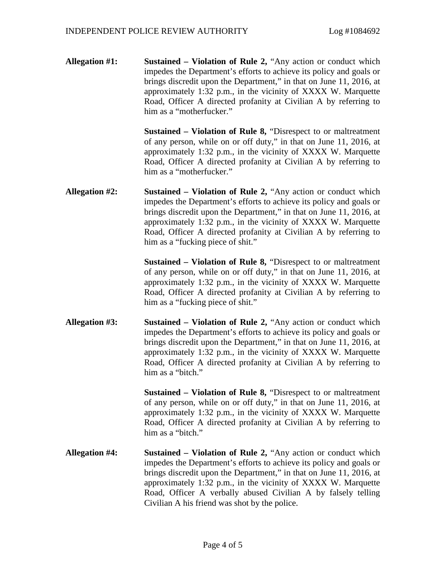**Allegation #1: Sustained – Violation of Rule 2,** "Any action or conduct which impedes the Department's efforts to achieve its policy and goals or brings discredit upon the Department," in that on June 11, 2016, at approximately 1:32 p.m., in the vicinity of XXXX W. Marquette Road, Officer A directed profanity at Civilian A by referring to him as a "motherfucker."

> **Sustained – Violation of Rule 8,** "Disrespect to or maltreatment of any person, while on or off duty," in that on June 11, 2016, at approximately 1:32 p.m., in the vicinity of XXXX W. Marquette Road, Officer A directed profanity at Civilian A by referring to him as a "motherfucker."

**Allegation #2: Sustained – Violation of Rule 2,** "Any action or conduct which impedes the Department's efforts to achieve its policy and goals or brings discredit upon the Department," in that on June 11, 2016, at approximately 1:32 p.m., in the vicinity of XXXX W. Marquette Road, Officer A directed profanity at Civilian A by referring to him as a "fucking piece of shit."

> **Sustained – Violation of Rule 8,** "Disrespect to or maltreatment of any person, while on or off duty," in that on June 11, 2016, at approximately 1:32 p.m., in the vicinity of XXXX W. Marquette Road, Officer A directed profanity at Civilian A by referring to him as a "fucking piece of shit."

**Allegation #3: Sustained – Violation of Rule 2,** "Any action or conduct which impedes the Department's efforts to achieve its policy and goals or brings discredit upon the Department," in that on June 11, 2016, at approximately 1:32 p.m., in the vicinity of XXXX W. Marquette Road, Officer A directed profanity at Civilian A by referring to him as a "bitch."

> **Sustained – Violation of Rule 8,** "Disrespect to or maltreatment of any person, while on or off duty," in that on June 11, 2016, at approximately 1:32 p.m., in the vicinity of XXXX W. Marquette Road, Officer A directed profanity at Civilian A by referring to him as a "bitch."

**Allegation #4: Sustained – Violation of Rule 2,** "Any action or conduct which impedes the Department's efforts to achieve its policy and goals or brings discredit upon the Department," in that on June 11, 2016, at approximately 1:32 p.m., in the vicinity of XXXX W. Marquette Road, Officer A verbally abused Civilian A by falsely telling Civilian A his friend was shot by the police.